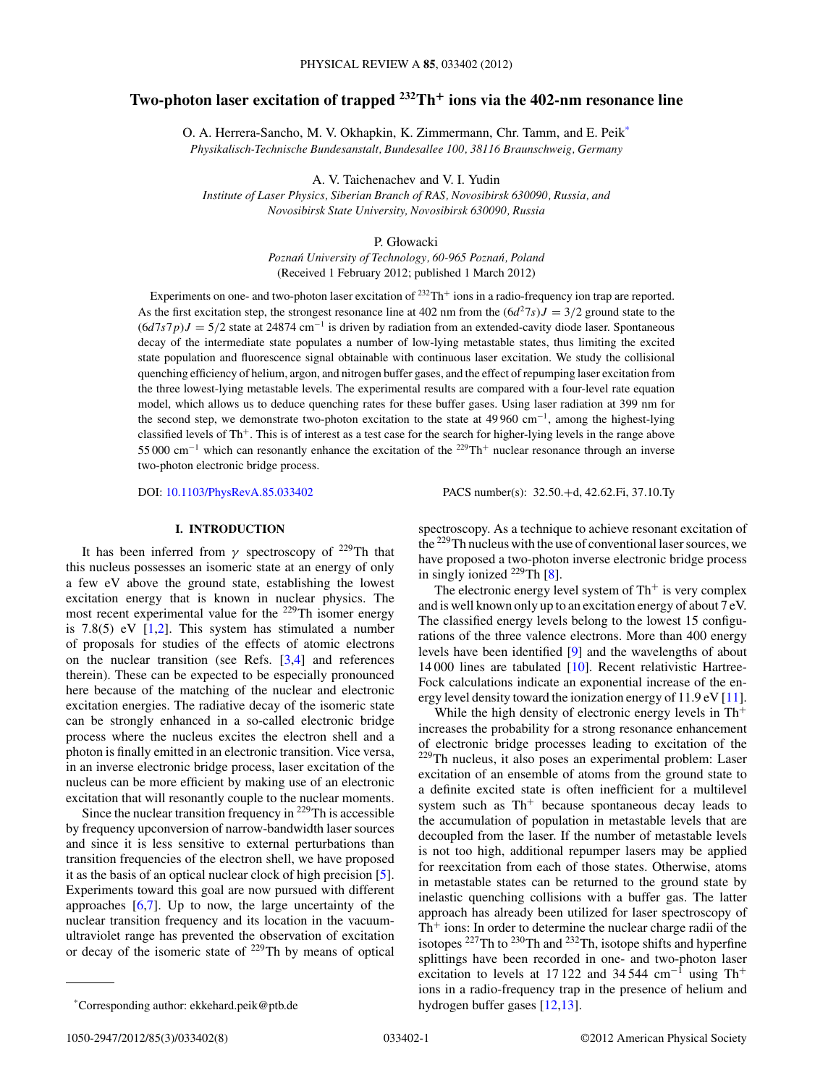# **Two-photon laser excitation of trapped 232Th<sup>+</sup> ions via the 402-nm resonance line**

O. A. Herrera-Sancho, M. V. Okhapkin, K. Zimmermann, Chr. Tamm, and E. Peik\* *Physikalisch-Technische Bundesanstalt, Bundesallee 100, 38116 Braunschweig, Germany*

A. V. Taichenachev and V. I. Yudin

*Institute of Laser Physics, Siberian Branch of RAS, Novosibirsk 630090, Russia, and Novosibirsk State University, Novosibirsk 630090, Russia*

P. Głowacki

*Poznań University of Technology, 60-965 Poznań, Poland* (Received 1 February 2012; published 1 March 2012)

Experiments on one- and two-photon laser excitation of  $^{232}Th^+$  ions in a radio-frequency ion trap are reported. As the first excitation step, the strongest resonance line at 402 nm from the  $(6d^27s)J = 3/2$  ground state to the (6*d*7*s*7*p*)*J* = 5*/*2 state at 24874 cm<sup>−</sup><sup>1</sup> is driven by radiation from an extended-cavity diode laser. Spontaneous decay of the intermediate state populates a number of low-lying metastable states, thus limiting the excited state population and fluorescence signal obtainable with continuous laser excitation. We study the collisional quenching efficiency of helium, argon, and nitrogen buffer gases, and the effect of repumping laser excitation from the three lowest-lying metastable levels. The experimental results are compared with a four-level rate equation model, which allows us to deduce quenching rates for these buffer gases. Using laser radiation at 399 nm for the second step, we demonstrate two-photon excitation to the state at 49 960 cm<sup>−</sup>1, among the highest-lying classified levels of Th<sup>+</sup>. This is of interest as a test case for the search for higher-lying levels in the range above 55 000 cm<sup>−</sup><sup>1</sup> which can resonantly enhance the excitation of the 229Th<sup>+</sup> nuclear resonance through an inverse two-photon electronic bridge process.

DOI: [10.1103/PhysRevA.85.033402](http://dx.doi.org/10.1103/PhysRevA.85.033402) PACS number(s): 32*.*50*.*+d, 42*.*62*.*Fi, 37*.*10*.*Ty

#### **I. INTRODUCTION**

It has been inferred from  $\gamma$  spectroscopy of <sup>229</sup>Th that this nucleus possesses an isomeric state at an energy of only a few eV above the ground state, establishing the lowest excitation energy that is known in nuclear physics. The most recent experimental value for the  $229$ Th isomer energy is 7.8(5) eV  $[1,2]$ . This system has stimulated a number of proposals for studies of the effects of atomic electrons on the nuclear transition (see Refs. [\[3,4\]](#page-6-0) and references therein). These can be expected to be especially pronounced here because of the matching of the nuclear and electronic excitation energies. The radiative decay of the isomeric state can be strongly enhanced in a so-called electronic bridge process where the nucleus excites the electron shell and a photon is finally emitted in an electronic transition. Vice versa, in an inverse electronic bridge process, laser excitation of the nucleus can be more efficient by making use of an electronic excitation that will resonantly couple to the nuclear moments.

Since the nuclear transition frequency in <sup>229</sup>Th is accessible by frequency upconversion of narrow-bandwidth laser sources and since it is less sensitive to external perturbations than transition frequencies of the electron shell, we have proposed it as the basis of an optical nuclear clock of high precision [\[5\]](#page-6-0). Experiments toward this goal are now pursued with different approaches  $[6,7]$ . Up to now, the large uncertainty of the nuclear transition frequency and its location in the vacuumultraviolet range has prevented the observation of excitation or decay of the isomeric state of 229Th by means of optical

The electronic energy level system of  $Th<sup>+</sup>$  is very complex and is well known only up to an excitation energy of about 7 eV. The classified energy levels belong to the lowest 15 configurations of the three valence electrons. More than 400 energy levels have been identified [\[9\]](#page-6-0) and the wavelengths of about 14 000 lines are tabulated [\[10\]](#page-6-0). Recent relativistic Hartree-Fock calculations indicate an exponential increase of the energy level density toward the ionization energy of 11.9 eV [\[11\]](#page-6-0).

While the high density of electronic energy levels in  $Th<sup>+</sup>$ increases the probability for a strong resonance enhancement of electronic bridge processes leading to excitation of the <sup>229</sup>Th nucleus, it also poses an experimental problem: Laser excitation of an ensemble of atoms from the ground state to a definite excited state is often inefficient for a multilevel system such as  $Th<sup>+</sup>$  because spontaneous decay leads to the accumulation of population in metastable levels that are decoupled from the laser. If the number of metastable levels is not too high, additional repumper lasers may be applied for reexcitation from each of those states. Otherwise, atoms in metastable states can be returned to the ground state by inelastic quenching collisions with a buffer gas. The latter approach has already been utilized for laser spectroscopy of  $Th<sup>+</sup>$  ions: In order to determine the nuclear charge radii of the isotopes 227Th to 230Th and 232Th, isotope shifts and hyperfine splittings have been recorded in one- and two-photon laser excitation to levels at 17 122 and 34 544 cm<sup>-1</sup> using Th<sup>+</sup> ions in a radio-frequency trap in the presence of helium and hydrogen buffer gases [\[12,13\]](#page-6-0).

spectroscopy. As a technique to achieve resonant excitation of the 229Th nucleus with the use of conventional laser sources, we have proposed a two-photon inverse electronic bridge process in singly ionized  $^{229}$ Th [\[8\]](#page-6-0).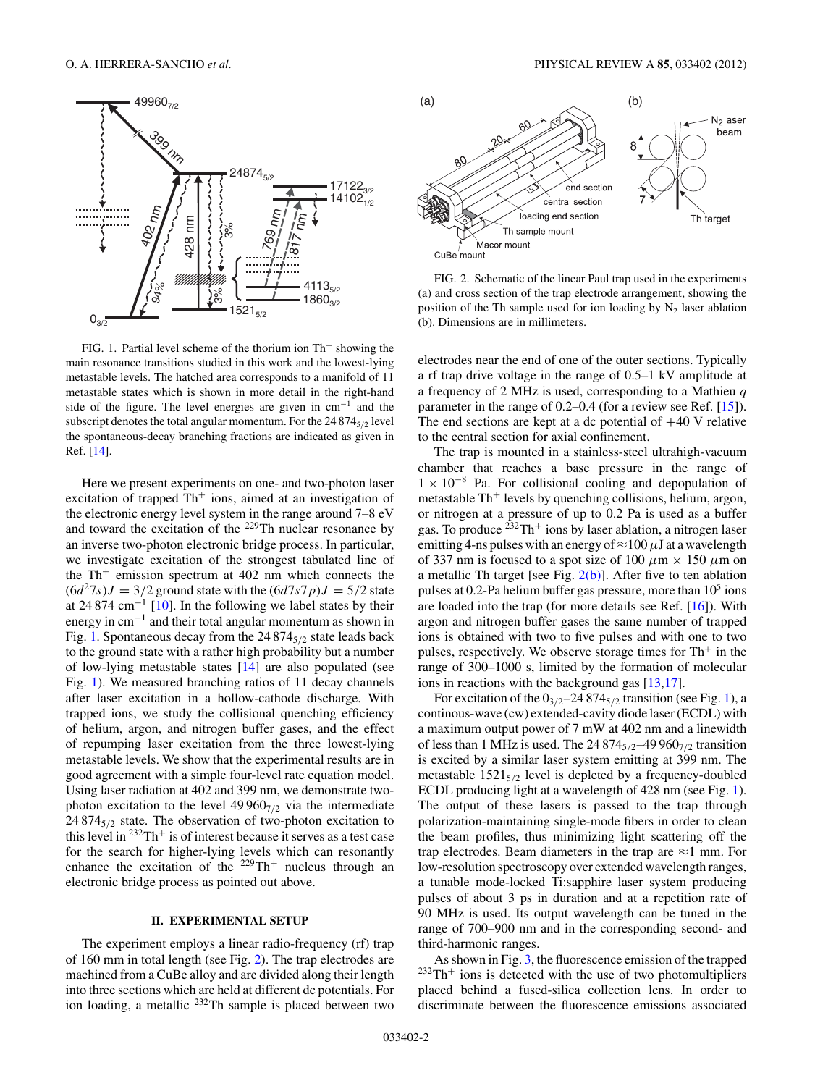<span id="page-1-0"></span>

FIG. 1. Partial level scheme of the thorium ion  $Th<sup>+</sup>$  showing the main resonance transitions studied in this work and the lowest-lying metastable levels. The hatched area corresponds to a manifold of 11 metastable states which is shown in more detail in the right-hand side of the figure. The level energies are given in cm<sup>−</sup><sup>1</sup> and the subscript denotes the total angular momentum. For the 24 874<sub>5/2</sub> level the spontaneous-decay branching fractions are indicated as given in Ref. [\[14\]](#page-6-0).

Here we present experiments on one- and two-photon laser excitation of trapped  $Th<sup>+</sup>$  ions, aimed at an investigation of the electronic energy level system in the range around 7–8 eV and toward the excitation of the <sup>229</sup>Th nuclear resonance by an inverse two-photon electronic bridge process. In particular, we investigate excitation of the strongest tabulated line of the  $Th<sup>+</sup>$  emission spectrum at 402 nm which connects the  $(6d^27s)J = 3/2$  ground state with the  $(6d7s7p)J = 5/2$  state at 24 874  $cm^{-1}$  [\[10\]](#page-6-0). In the following we label states by their energy in cm<sup>−</sup><sup>1</sup> and their total angular momentum as shown in Fig. 1. Spontaneous decay from the 24 874<sub>5/2</sub> state leads back to the ground state with a rather high probability but a number of low-lying metastable states [\[14\]](#page-6-0) are also populated (see Fig. 1). We measured branching ratios of 11 decay channels after laser excitation in a hollow-cathode discharge. With trapped ions, we study the collisional quenching efficiency of helium, argon, and nitrogen buffer gases, and the effect of repumping laser excitation from the three lowest-lying metastable levels. We show that the experimental results are in good agreement with a simple four-level rate equation model. Using laser radiation at 402 and 399 nm, we demonstrate twophoton excitation to the level  $49\,960_{7/2}$  via the intermediate 24 8745*/*<sup>2</sup> state. The observation of two-photon excitation to this level in  $232 \text{Th}^+$  is of interest because it serves as a test case for the search for higher-lying levels which can resonantly enhance the excitation of the  $229 \text{Th}^+$  nucleus through an electronic bridge process as pointed out above.

#### **II. EXPERIMENTAL SETUP**

The experiment employs a linear radio-frequency (rf) trap of 160 mm in total length (see Fig. 2). The trap electrodes are machined from a CuBe alloy and are divided along their length into three sections which are held at different dc potentials. For ion loading, a metallic <sup>232</sup>Th sample is placed between two



FIG. 2. Schematic of the linear Paul trap used in the experiments (a) and cross section of the trap electrode arrangement, showing the position of the Th sample used for ion loading by  $N_2$  laser ablation (b). Dimensions are in millimeters.

electrodes near the end of one of the outer sections. Typically a rf trap drive voltage in the range of 0.5–1 kV amplitude at a frequency of 2 MHz is used, corresponding to a Mathieu *q* parameter in the range of 0.2–0.4 (for a review see Ref. [\[15\]](#page-6-0)). The end sections are kept at a dc potential of  $+40$  V relative to the central section for axial confinement.

The trap is mounted in a stainless-steel ultrahigh-vacuum chamber that reaches a base pressure in the range of  $1 \times 10^{-8}$  Pa. For collisional cooling and depopulation of metastable  $Th<sup>+</sup>$  levels by quenching collisions, helium, argon, or nitrogen at a pressure of up to 0.2 Pa is used as a buffer gas. To produce  $^{232}Th^{+}$  ions by laser ablation, a nitrogen laser emitting 4-ns pulses with an energy of  $\approx$ 100  $\mu$ J at a wavelength of 337 nm is focused to a spot size of 100  $\mu$ m  $\times$  150  $\mu$ m on a metallic Th target [see Fig.  $2(b)$ ]. After five to ten ablation pulses at 0.2-Pa helium buffer gas pressure, more than  $10<sup>5</sup>$  ions are loaded into the trap (for more details see Ref. [\[16\]](#page-6-0)). With argon and nitrogen buffer gases the same number of trapped ions is obtained with two to five pulses and with one to two pulses, respectively. We observe storage times for  $Th<sup>+</sup>$  in the range of 300–1000 s, limited by the formation of molecular ions in reactions with the background gas [\[13,17\]](#page-6-0).

For excitation of the  $0_{3/2}$ –24 874<sub>5/2</sub> transition (see Fig. 1), a continous-wave (cw) extended-cavity diode laser (ECDL) with a maximum output power of 7 mW at 402 nm and a linewidth of less than 1 MHz is used. The 24 8745*/*2–49 9607*/*<sup>2</sup> transition is excited by a similar laser system emitting at 399 nm. The metastable  $1521_{5/2}$  level is depleted by a frequency-doubled ECDL producing light at a wavelength of 428 nm (see Fig. 1). The output of these lasers is passed to the trap through polarization-maintaining single-mode fibers in order to clean the beam profiles, thus minimizing light scattering off the trap electrodes. Beam diameters in the trap are  $\approx$ 1 mm. For low-resolution spectroscopy over extended wavelength ranges, a tunable mode-locked Ti:sapphire laser system producing pulses of about 3 ps in duration and at a repetition rate of 90 MHz is used. Its output wavelength can be tuned in the range of 700–900 nm and in the corresponding second- and third-harmonic ranges.

As shown in Fig. [3,](#page-2-0) the fluorescence emission of the trapped  $232Th<sup>+</sup>$  ions is detected with the use of two photomultipliers placed behind a fused-silica collection lens. In order to discriminate between the fluorescence emissions associated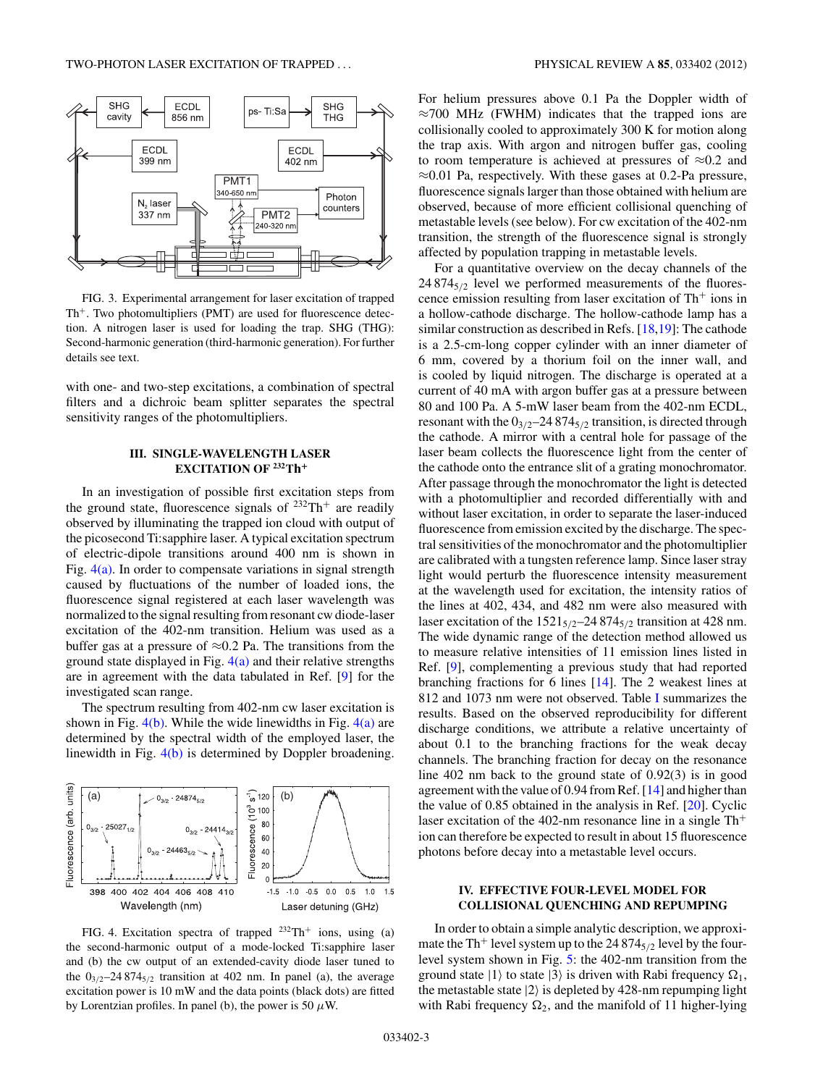<span id="page-2-0"></span>

FIG. 3. Experimental arrangement for laser excitation of trapped  $Th<sup>+</sup>$ . Two photomultipliers (PMT) are used for fluorescence detection. A nitrogen laser is used for loading the trap. SHG (THG): Second-harmonic generation (third-harmonic generation). For further details see text.

with one- and two-step excitations, a combination of spectral filters and a dichroic beam splitter separates the spectral sensitivity ranges of the photomultipliers.

## **III. SINGLE-WAVELENGTH LASER EXCITATION OF 232Th<sup>+</sup>**

In an investigation of possible first excitation steps from the ground state, fluorescence signals of  $232 \text{Th}^+$  are readily observed by illuminating the trapped ion cloud with output of the picosecond Ti:sapphire laser. A typical excitation spectrum of electric-dipole transitions around 400 nm is shown in Fig.  $4(a)$ . In order to compensate variations in signal strength caused by fluctuations of the number of loaded ions, the fluorescence signal registered at each laser wavelength was normalized to the signal resulting from resonant cw diode-laser excitation of the 402-nm transition. Helium was used as a buffer gas at a pressure of  $\approx 0.2$  Pa. The transitions from the ground state displayed in Fig.  $4(a)$  and their relative strengths are in agreement with the data tabulated in Ref. [\[9\]](#page-6-0) for the investigated scan range.

The spectrum resulting from 402-nm cw laser excitation is shown in Fig.  $4(b)$ . While the wide linewidths in Fig.  $4(a)$  are determined by the spectral width of the employed laser, the linewidth in Fig. 4(b) is determined by Doppler broadening.



FIG. 4. Excitation spectra of trapped  $232 \text{Th}^+$  ions, using (a) the second-harmonic output of a mode-locked Ti:sapphire laser and (b) the cw output of an extended-cavity diode laser tuned to the  $0_{3/2}$ –24 874 $_{5/2}$  transition at 402 nm. In panel (a), the average excitation power is 10 mW and the data points (black dots) are fitted by Lorentzian profiles. In panel (b), the power is 50  $\mu$ W.

For helium pressures above 0*.*1 Pa the Doppler width of  $\approx$ 700 MHz (FWHM) indicates that the trapped ions are collisionally cooled to approximately 300 K for motion along the trap axis. With argon and nitrogen buffer gas, cooling to room temperature is achieved at pressures of ≈0.2 and ≈0.01 Pa, respectively. With these gases at 0*.*2-Pa pressure, fluorescence signals larger than those obtained with helium are observed, because of more efficient collisional quenching of metastable levels (see below). For cw excitation of the 402-nm transition, the strength of the fluorescence signal is strongly affected by population trapping in metastable levels.

For a quantitative overview on the decay channels of the 24 8745*/*<sup>2</sup> level we performed measurements of the fluorescence emission resulting from laser excitation of  $Th<sup>+</sup>$  ions in a hollow-cathode discharge. The hollow-cathode lamp has a similar construction as described in Refs. [\[18,19\]](#page-7-0): The cathode is a 2.5-cm-long copper cylinder with an inner diameter of 6 mm, covered by a thorium foil on the inner wall, and is cooled by liquid nitrogen. The discharge is operated at a current of 40 mA with argon buffer gas at a pressure between 80 and 100 Pa. A 5-mW laser beam from the 402-nm ECDL, resonant with the  $0_{3/2}$ –24 874 $_{5/2}$  transition, is directed through the cathode. A mirror with a central hole for passage of the laser beam collects the fluorescence light from the center of the cathode onto the entrance slit of a grating monochromator. After passage through the monochromator the light is detected with a photomultiplier and recorded differentially with and without laser excitation, in order to separate the laser-induced fluorescence from emission excited by the discharge. The spectral sensitivities of the monochromator and the photomultiplier are calibrated with a tungsten reference lamp. Since laser stray light would perturb the fluorescence intensity measurement at the wavelength used for excitation, the intensity ratios of the lines at 402, 434, and 482 nm were also measured with laser excitation of the  $1521_{5/2}$ –24 874 $_{5/2}$  transition at 428 nm. The wide dynamic range of the detection method allowed us to measure relative intensities of 11 emission lines listed in Ref. [\[9\]](#page-6-0), complementing a previous study that had reported branching fractions for 6 lines [\[14\]](#page-6-0). The 2 weakest lines at 812 and 1073 nm were not observed. Table [I](#page-3-0) summarizes the results. Based on the observed reproducibility for different discharge conditions, we attribute a relative uncertainty of about 0.1 to the branching fractions for the weak decay channels. The branching fraction for decay on the resonance line 402 nm back to the ground state of 0*.*92(3) is in good agreement with the value of 0.94 from Ref. [\[14\]](#page-6-0) and higher than the value of 0.85 obtained in the analysis in Ref. [\[20\]](#page-7-0). Cyclic laser excitation of the 402-nm resonance line in a single  $Th<sup>+</sup>$ ion can therefore be expected to result in about 15 fluorescence photons before decay into a metastable level occurs.

#### **IV. EFFECTIVE FOUR-LEVEL MODEL FOR COLLISIONAL QUENCHING AND REPUMPING**

In order to obtain a simple analytic description, we approximate the Th<sup>+</sup> level system up to the 24 874 $_{5/2}$  level by the fourlevel system shown in Fig. [5:](#page-3-0) the 402-nm transition from the ground state  $|1\rangle$  to state  $|3\rangle$  is driven with Rabi frequency  $\Omega_1$ , the metastable state  $|2\rangle$  is depleted by 428-nm repumping light with Rabi frequency  $\Omega_2$ , and the manifold of 11 higher-lying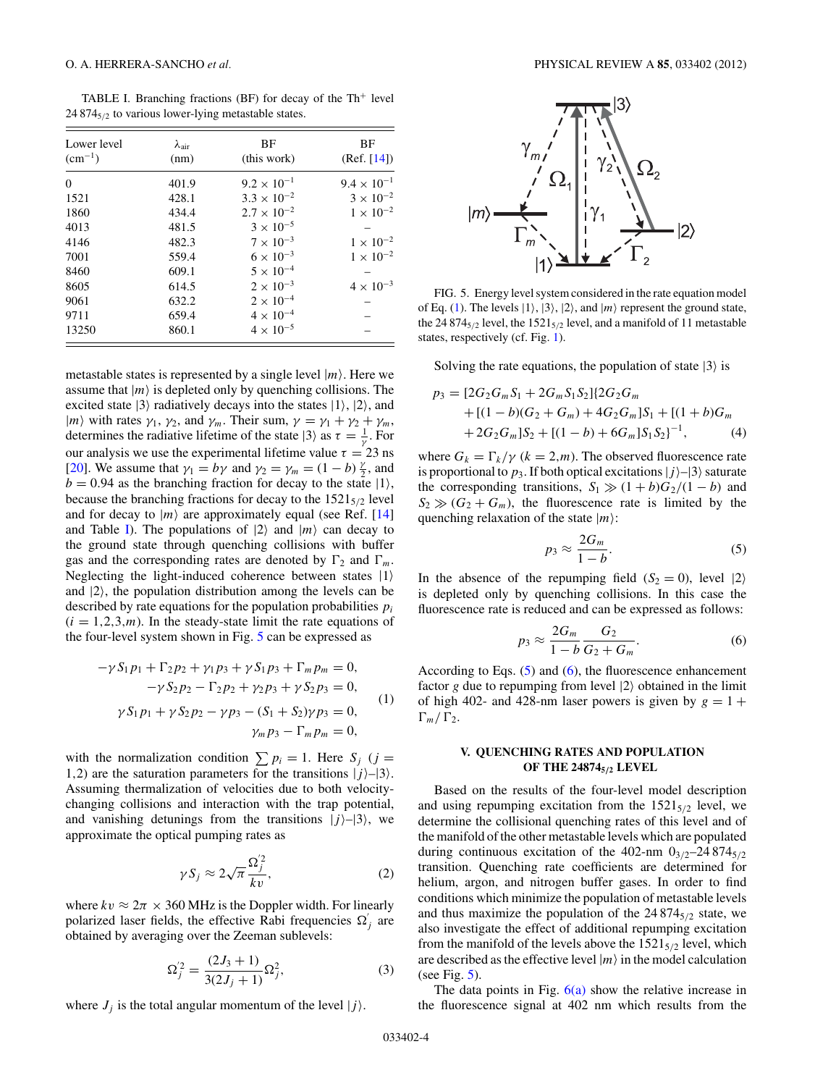<span id="page-3-0"></span>TABLE I. Branching fractions (BF) for decay of the Th<sup>+</sup> level 24 874<sub>5/2</sub> to various lower-lying metastable states.

| Lower level<br>$(cm^{-1})$ | $\lambda_{\text{air}}$<br>(nm) | BF<br>(this work)    | BF<br>(Ref. [14])    |
|----------------------------|--------------------------------|----------------------|----------------------|
| $\Omega$                   | 401.9                          | $9.2 \times 10^{-1}$ | $9.4 \times 10^{-1}$ |
| 1521                       | 428.1                          | $3.3 \times 10^{-2}$ | $3 \times 10^{-2}$   |
| 1860                       | 434.4                          | $2.7 \times 10^{-2}$ | $1 \times 10^{-2}$   |
| 4013                       | 481.5                          | $3 \times 10^{-5}$   |                      |
| 4146                       | 482.3                          | $7 \times 10^{-3}$   | $1 \times 10^{-2}$   |
| 7001                       | 559.4                          | $6 \times 10^{-3}$   | $1 \times 10^{-2}$   |
| 8460                       | 609.1                          | $5 \times 10^{-4}$   |                      |
| 8605                       | 614.5                          | $2 \times 10^{-3}$   | $4 \times 10^{-3}$   |
| 9061                       | 632.2                          | $2 \times 10^{-4}$   |                      |
| 9711                       | 659.4                          | $4 \times 10^{-4}$   |                      |
| 13250                      | 860.1                          | $4 \times 10^{-5}$   |                      |

metastable states is represented by a single level  $|m\rangle$ . Here we assume that  $|m\rangle$  is depleted only by quenching collisions. The excited state  $|3\rangle$  radiatively decays into the states  $|1\rangle$ ,  $|2\rangle$ , and  $|m\rangle$  with rates  $\gamma_1$ ,  $\gamma_2$ , and  $\gamma_m$ . Their sum,  $\gamma = \gamma_1 + \gamma_2 + \gamma_m$ , determines the radiative lifetime of the state  $|3\rangle$  as  $\tau = \frac{1}{\gamma}$ . For our analysis we use the experimental lifetime value  $\tau = 23$  ns [\[20\]](#page-7-0). We assume that  $\gamma_1 = b\gamma$  and  $\gamma_2 = \gamma_m = (1 - b) \frac{\gamma}{2}$ , and  $b = 0.94$  as the branching fraction for decay to the state  $|1\rangle$ , because the branching fractions for decay to the 1521<sub>5/2</sub> level and for decay to  $|m\rangle$  are approximately equal (see Ref. [\[14\]](#page-6-0) and Table I). The populations of  $|2\rangle$  and  $|m\rangle$  can decay to the ground state through quenching collisions with buffer gas and the corresponding rates are denoted by  $\Gamma_2$  and  $\Gamma_m$ . Neglecting the light-induced coherence between states  $|1\rangle$ and  $|2\rangle$ , the population distribution among the levels can be described by rate equations for the population probabilities *pi*  $(i = 1, 2, 3, m)$ . In the steady-state limit the rate equations of the four-level system shown in Fig. 5 can be expressed as

$$
-\gamma S_1 p_1 + \Gamma_2 p_2 + \gamma_1 p_3 + \gamma S_1 p_3 + \Gamma_m p_m = 0,
$$
  
\n
$$
-\gamma S_2 p_2 - \Gamma_2 p_2 + \gamma_2 p_3 + \gamma S_2 p_3 = 0,
$$
  
\n
$$
\gamma S_1 p_1 + \gamma S_2 p_2 - \gamma p_3 - (S_1 + S_2) \gamma p_3 = 0,
$$
  
\n
$$
\gamma_m p_3 - \Gamma_m p_m = 0,
$$
  
\n(1)

with the normalization condition  $\sum p_i = 1$ . Here  $S_j$  (*j* = 1,2) are the saturation parameters for the transitions  $|j\rangle$ - $|3\rangle$ . Assuming thermalization of velocities due to both velocitychanging collisions and interaction with the trap potential, and vanishing detunings from the transitions  $|j\rangle$ – $|3\rangle$ , we approximate the optical pumping rates as

$$
\gamma S_j \approx 2\sqrt{\pi} \frac{\Omega_j^{'2}}{kv},\tag{2}
$$

where  $kv \approx 2\pi \times 360$  MHz is the Doppler width. For linearly polarized laser fields, the effective Rabi frequencies  $\Omega'_{j}$  are obtained by averaging over the Zeeman sublevels:

$$
\Omega_j^{'2} = \frac{(2J_3+1)}{3(2J_j+1)} \Omega_j^2,\tag{3}
$$

where  $J_j$  is the total angular momentum of the level  $|j\rangle$ .



FIG. 5. Energy level system considered in the rate equation model of Eq. (1). The levels  $|1\rangle$ ,  $|3\rangle$ ,  $|2\rangle$ , and  $|m\rangle$  represent the ground state, the 24 874 $_{5/2}$  level, the 1521 $_{5/2}$  level, and a manifold of 11 metastable states, respectively (cf. Fig. [1\)](#page-1-0).

Solving the rate equations, the population of state  $|3\rangle$  is

$$
p_3 = [2G_2G_mS_1 + 2G_mS_1S_2][2G_2G_m
$$
  
+ 
$$
[(1 - b)(G_2 + G_m) + 4G_2G_m]S_1 + [(1 + b)G_m
$$
  
+ 
$$
2G_2G_m]S_2 + [(1 - b) + 6G_m]S_1S_2]^{-1},
$$
 (4)

where  $G_k = \Gamma_k / \gamma$  ( $k = 2, m$ ). The observed fluorescence rate is proportional to  $p_3$ . If both optical excitations  $|j\rangle$ – $|3\rangle$  saturate the corresponding transitions,  $S_1 \gg (1 + b)G_2/(1 - b)$  and  $S_2 \gg (G_2 + G_m)$ , the fluorescence rate is limited by the quenching relaxation of the state |*m*:

$$
p_3 \approx \frac{2G_m}{1-b}.\tag{5}
$$

In the absence of the repumping field  $(S_2 = 0)$ , level  $|2\rangle$ is depleted only by quenching collisions. In this case the fluorescence rate is reduced and can be expressed as follows:

$$
p_3 \approx \frac{2G_m}{1-b} \frac{G_2}{G_2 + G_m}.\tag{6}
$$

According to Eqs.  $(5)$  and  $(6)$ , the fluorescence enhancement factor  $g$  due to repumping from level  $|2\rangle$  obtained in the limit of high 402- and 428-nm laser powers is given by  $g = 1 +$  $\Gamma_m/\Gamma_2$ .

## **V. QUENCHING RATES AND POPULATION OF THE 248745***/***<sup>2</sup> LEVEL**

Based on the results of the four-level model description and using repumping excitation from the  $1521_{5/2}$  level, we determine the collisional quenching rates of this level and of the manifold of the other metastable levels which are populated during continuous excitation of the  $402$ -nm  $0_{3/2}$ -24  $874_{5/2}$ transition. Quenching rate coefficients are determined for helium, argon, and nitrogen buffer gases. In order to find conditions which minimize the population of metastable levels and thus maximize the population of the  $24874_{5/2}$  state, we also investigate the effect of additional repumping excitation from the manifold of the levels above the  $1521_{5/2}$  level, which are described as the effective level  $|m\rangle$  in the model calculation (see Fig.  $5$ ).

The data points in Fig.  $6(a)$  show the relative increase in the fluorescence signal at 402 nm which results from the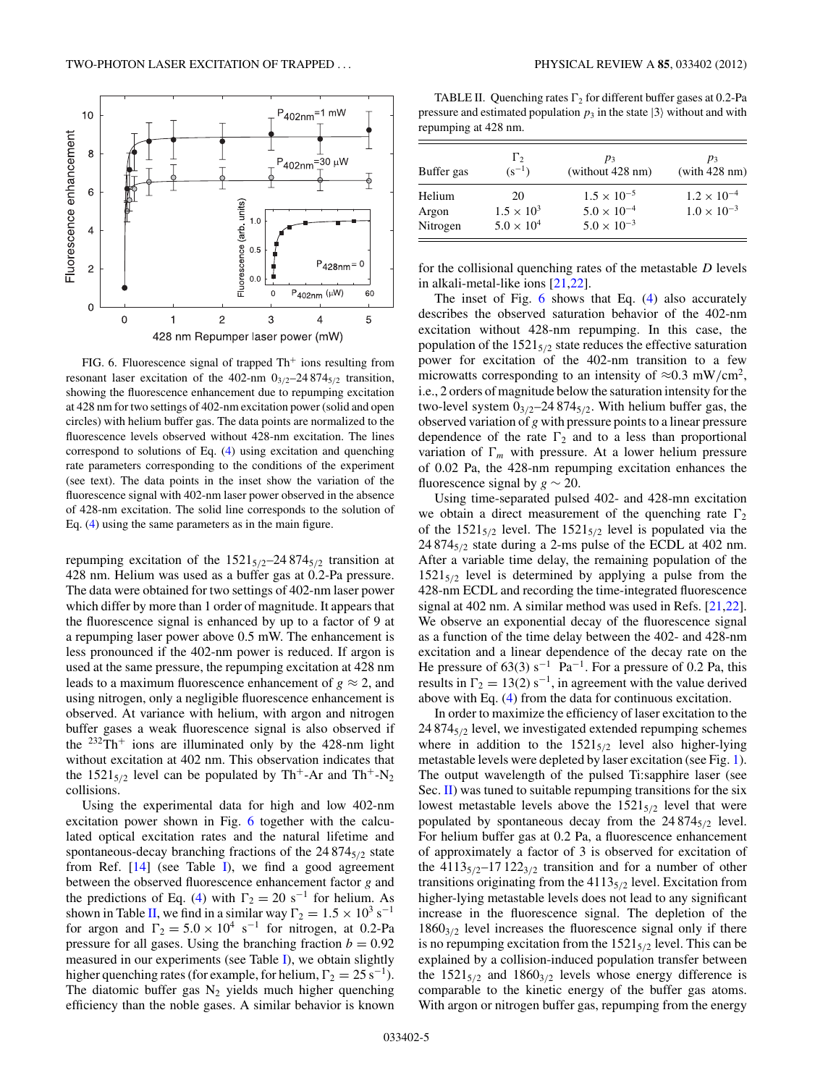<span id="page-4-0"></span>

FIG. 6. Fluorescence signal of trapped  $Th<sup>+</sup>$  ions resulting from resonant laser excitation of the  $402$ -nm  $0_{3/2}$ -24  $874_{5/2}$  transition, showing the fluorescence enhancement due to repumping excitation at 428 nm for two settings of 402-nm excitation power (solid and open circles) with helium buffer gas. The data points are normalized to the fluorescence levels observed without 428-nm excitation. The lines correspond to solutions of Eq. [\(4\)](#page-3-0) using excitation and quenching rate parameters corresponding to the conditions of the experiment (see text). The data points in the inset show the variation of the fluorescence signal with 402-nm laser power observed in the absence of 428-nm excitation. The solid line corresponds to the solution of Eq. [\(4\)](#page-3-0) using the same parameters as in the main figure.

repumping excitation of the  $1521_{5/2}$ –24 874 $_{5/2}$  transition at 428 nm. Helium was used as a buffer gas at 0.2-Pa pressure. The data were obtained for two settings of 402-nm laser power which differ by more than 1 order of magnitude. It appears that the fluorescence signal is enhanced by up to a factor of 9 at a repumping laser power above 0.5 mW. The enhancement is less pronounced if the 402-nm power is reduced. If argon is used at the same pressure, the repumping excitation at 428 nm leads to a maximum fluorescence enhancement of  $g \approx 2$ , and using nitrogen, only a negligible fluorescence enhancement is observed. At variance with helium, with argon and nitrogen buffer gases a weak fluorescence signal is also observed if the  $232Th$ <sup>+</sup> ions are illuminated only by the 428-nm light without excitation at 402 nm. This observation indicates that the  $1521_{5/2}$  level can be populated by Th<sup>+</sup>-Ar and Th<sup>+</sup>-N<sub>2</sub> collisions.

Using the experimental data for high and low 402-nm excitation power shown in Fig. 6 together with the calculated optical excitation rates and the natural lifetime and spontaneous-decay branching fractions of the 24 874<sub>5/2</sub> state from Ref. [\[14\]](#page-6-0) (see Table [I\)](#page-3-0), we find a good agreement between the observed fluorescence enhancement factor *g* and the predictions of Eq. [\(4\)](#page-3-0) with  $\Gamma_2 = 20$  s<sup>-1</sup> for helium. As shown in Table II, we find in a similar way  $\Gamma_2 = 1.5 \times 10^3 \text{ s}^{-1}$ for argon and  $\Gamma_2 = 5.0 \times 10^4 \text{ s}^{-1}$  for nitrogen, at 0.2-Pa pressure for all gases. Using the branching fraction  $b = 0.92$ measured in our experiments (see Table [I\)](#page-3-0), we obtain slightly higher quenching rates (for example, for helium,  $\Gamma_2 = 25 \text{ s}^{-1}$ ). The diatomic buffer gas  $N_2$  yields much higher quenching efficiency than the noble gases. A similar behavior is known

TABLE II. Ouenching rates  $\Gamma_2$  for different buffer gases at 0.2-Pa pressure and estimated population  $p_3$  in the state  $|3\rangle$  without and with repumping at 428 nm.

| Buffer gas | $\Gamma_{2}$<br>$(s^{-1})$ | $p_3$<br>(without $428 \text{ nm}$ ) | $p_3$<br>(with 428 nm) |
|------------|----------------------------|--------------------------------------|------------------------|
| Helium     | 20                         | $1.5 \times 10^{-5}$                 | $1.2 \times 10^{-4}$   |
| Argon      | $1.5 \times 10^{3}$        | $5.0 \times 10^{-4}$                 | $1.0 \times 10^{-3}$   |
| Nitrogen   | $5.0 \times 10^{4}$        | $5.0 \times 10^{-3}$                 |                        |

for the collisional quenching rates of the metastable *D* levels in alkali-metal-like ions [\[21,22\]](#page-7-0).

The inset of Fig. 6 shows that Eq. [\(4\)](#page-3-0) also accurately describes the observed saturation behavior of the 402-nm excitation without 428-nm repumping. In this case, the population of the  $1521_{5/2}$  state reduces the effective saturation power for excitation of the 402-nm transition to a few microwatts corresponding to an intensity of  $\approx 0.3$  mW/cm<sup>2</sup>, i.e., 2 orders of magnitude below the saturation intensity for the two-level system  $0_{3/2}$ –24 874 $_{5/2}$ . With helium buffer gas, the observed variation of *g* with pressure points to a linear pressure dependence of the rate  $\Gamma_2$  and to a less than proportional variation of  $\Gamma_m$  with pressure. At a lower helium pressure of 0.02 Pa, the 428-nm repumping excitation enhances the fluorescence signal by  $g \sim 20$ .

Using time-separated pulsed 402- and 428-mn excitation we obtain a direct measurement of the quenching rate  $\Gamma_2$ of the  $1521_{5/2}$  level. The  $1521_{5/2}$  level is populated via the 24 8745*/*<sup>2</sup> state during a 2-ms pulse of the ECDL at 402 nm. After a variable time delay, the remaining population of the  $1521_{5/2}$  level is determined by applying a pulse from the 428-nm ECDL and recording the time-integrated fluorescence signal at 402 nm. A similar method was used in Refs. [\[21,22\]](#page-7-0). We observe an exponential decay of the fluorescence signal as a function of the time delay between the 402- and 428-nm excitation and a linear dependence of the decay rate on the He pressure of 63(3) s<sup>-1</sup> Pa<sup>-1</sup>. For a pressure of 0.2 Pa, this results in  $\Gamma_2 = 13(2) s^{-1}$ , in agreement with the value derived above with Eq. [\(4\)](#page-3-0) from the data for continuous excitation.

In order to maximize the efficiency of laser excitation to the 24 8745*/*<sup>2</sup> level, we investigated extended repumping schemes where in addition to the  $1521_{5/2}$  level also higher-lying metastable levels were depleted by laser excitation (see Fig. [1\)](#page-1-0). The output wavelength of the pulsed Ti:sapphire laser (see Sec. [II\)](#page-1-0) was tuned to suitable repumping transitions for the six lowest metastable levels above the  $1521_{5/2}$  level that were populated by spontaneous decay from the  $24874_{5/2}$  level. For helium buffer gas at 0.2 Pa, a fluorescence enhancement of approximately a factor of 3 is observed for excitation of the  $4113_{5/2}$ –17 122<sub>3/2</sub> transition and for a number of other transitions originating from the 41135*/*<sup>2</sup> level. Excitation from higher-lying metastable levels does not lead to any significant increase in the fluorescence signal. The depletion of the  $1860<sub>3/2</sub>$  level increases the fluorescence signal only if there is no repumping excitation from the  $1521_{5/2}$  level. This can be explained by a collision-induced population transfer between the  $1521_{5/2}$  and  $1860_{3/2}$  levels whose energy difference is comparable to the kinetic energy of the buffer gas atoms. With argon or nitrogen buffer gas, repumping from the energy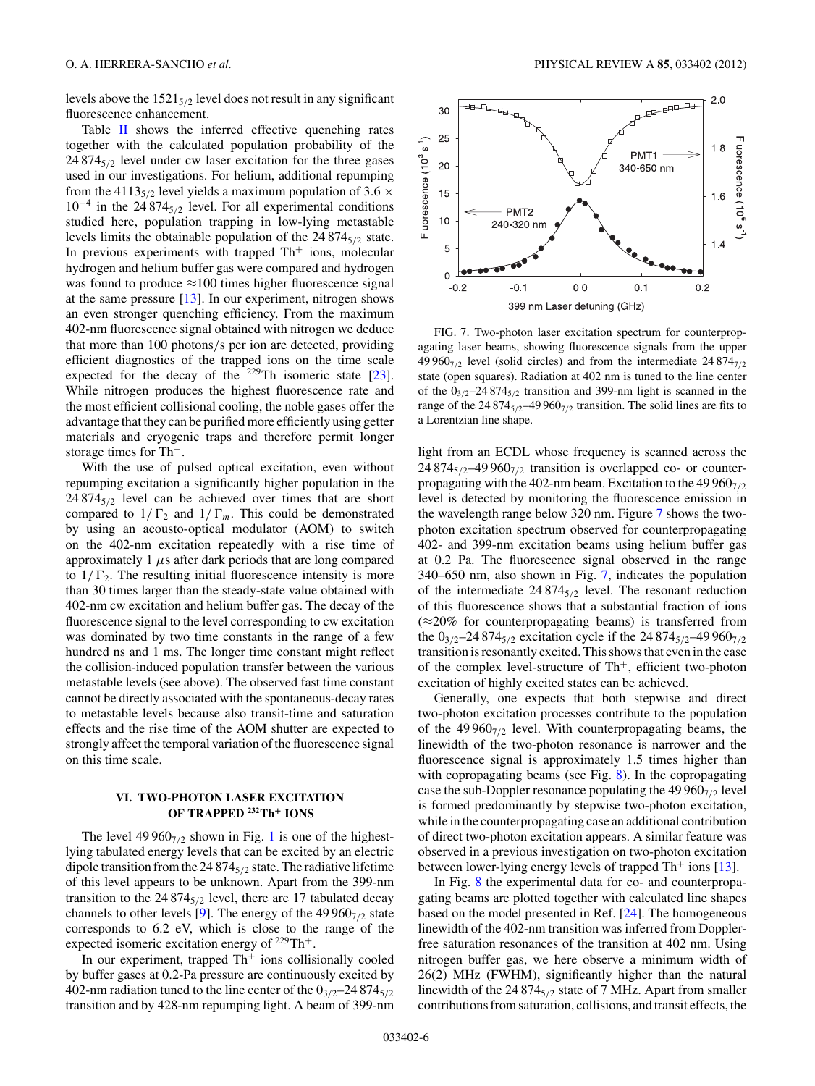levels above the 1521<sub>5/2</sub> level does not result in any significant fluorescence enhancement.

Table [II](#page-4-0) shows the inferred effective quenching rates together with the calculated population probability of the 24 8745*/*<sup>2</sup> level under cw laser excitation for the three gases used in our investigations. For helium, additional repumping from the 4113<sub>5/2</sub> level yields a maximum population of 3.6  $\times$ 10<sup>−</sup><sup>4</sup> in the 24 8745*/*<sup>2</sup> level. For all experimental conditions studied here, population trapping in low-lying metastable levels limits the obtainable population of the 24 874<sub>5/2</sub> state. In previous experiments with trapped  $Th<sup>+</sup>$  ions, molecular hydrogen and helium buffer gas were compared and hydrogen was found to produce  $\approx$ 100 times higher fluorescence signal at the same pressure  $[13]$ . In our experiment, nitrogen shows an even stronger quenching efficiency. From the maximum 402-nm fluorescence signal obtained with nitrogen we deduce that more than 100 photons*/*s per ion are detected, providing efficient diagnostics of the trapped ions on the time scale expected for the decay of the  $229$ Th isomeric state [\[23\]](#page-7-0). While nitrogen produces the highest fluorescence rate and the most efficient collisional cooling, the noble gases offer the advantage that they can be purified more efficiently using getter materials and cryogenic traps and therefore permit longer storage times for Th<sup>+</sup>.

With the use of pulsed optical excitation, even without repumping excitation a significantly higher population in the  $24874_{5/2}$  level can be achieved over times that are short compared to  $1/\Gamma_2$  and  $1/\Gamma_m$ . This could be demonstrated by using an acousto-optical modulator (AOM) to switch on the 402-nm excitation repeatedly with a rise time of approximately 1  $\mu$ s after dark periods that are long compared to  $1/\Gamma_2$ . The resulting initial fluorescence intensity is more than 30 times larger than the steady-state value obtained with 402-nm cw excitation and helium buffer gas. The decay of the fluorescence signal to the level corresponding to cw excitation was dominated by two time constants in the range of a few hundred ns and 1 ms. The longer time constant might reflect the collision-induced population transfer between the various metastable levels (see above). The observed fast time constant cannot be directly associated with the spontaneous-decay rates to metastable levels because also transit-time and saturation effects and the rise time of the AOM shutter are expected to strongly affect the temporal variation of the fluorescence signal on this time scale.

### **VI. TWO-PHOTON LASER EXCITATION OF TRAPPED 232Th<sup>+</sup> IONS**

The level  $49\,960_{7/2}$  shown in Fig. [1](#page-1-0) is one of the highestlying tabulated energy levels that can be excited by an electric dipole transition from the 24 8745*/*<sup>2</sup> state. The radiative lifetime of this level appears to be unknown. Apart from the 399-nm transition to the 24 874<sub>5/2</sub> level, there are 17 tabulated decay channels to other levels [\[9\]](#page-6-0). The energy of the 49 960<sub>7/2</sub> state corresponds to 6.2 eV, which is close to the range of the expected isomeric excitation energy of 229Th<sup>+</sup>.

In our experiment, trapped  $Th<sup>+</sup>$  ions collisionally cooled by buffer gases at 0.2-Pa pressure are continuously excited by 402-nm radiation tuned to the line center of the  $0_{3/2}$ –24 874 $_{5/2}$ transition and by 428-nm repumping light. A beam of 399-nm



FIG. 7. Two-photon laser excitation spectrum for counterpropagating laser beams, showing fluorescence signals from the upper 49 9607*/*<sup>2</sup> level (solid circles) and from the intermediate 24 8747*/*<sup>2</sup> state (open squares). Radiation at 402 nm is tuned to the line center of the  $0_{3/2}$ –24 874<sub>5/2</sub> transition and 399-nm light is scanned in the range of the  $24874_{5/2}$ –49 960<sub>7/2</sub> transition. The solid lines are fits to a Lorentzian line shape.

light from an ECDL whose frequency is scanned across the 24 874 $_{5/2}$ -49 960 $_{7/2}$  transition is overlapped co- or counterpropagating with the 402-nm beam. Excitation to the  $49\,960_{7/2}$ level is detected by monitoring the fluorescence emission in the wavelength range below 320 nm. Figure 7 shows the twophoton excitation spectrum observed for counterpropagating 402- and 399-nm excitation beams using helium buffer gas at 0.2 Pa. The fluorescence signal observed in the range 340–650 nm, also shown in Fig. 7, indicates the population of the intermediate 24 8745*/*<sup>2</sup> level. The resonant reduction of this fluorescence shows that a substantial fraction of ions  $(\approx 20\%$  for counterpropagating beams) is transferred from the 0<sub>3/2</sub>–24 874<sub>5/2</sub> excitation cycle if the 24 874<sub>5/2</sub>–49 960<sub>7/2</sub> transition is resonantly excited. This shows that even in the case of the complex level-structure of  $Th<sup>+</sup>$ , efficient two-photon excitation of highly excited states can be achieved.

Generally, one expects that both stepwise and direct two-photon excitation processes contribute to the population of the 49 9607*/*<sup>2</sup> level. With counterpropagating beams, the linewidth of the two-photon resonance is narrower and the fluorescence signal is approximately 1.5 times higher than with copropagating beams (see Fig. [8\)](#page-6-0). In the copropagating case the sub-Doppler resonance populating the 49 960<sub>7/2</sub> level is formed predominantly by stepwise two-photon excitation, while in the counterpropagating case an additional contribution of direct two-photon excitation appears. A similar feature was observed in a previous investigation on two-photon excitation between lower-lying energy levels of trapped  $Th<sup>+</sup>$  ions [\[13\]](#page-6-0).

In Fig. [8](#page-6-0) the experimental data for co- and counterpropagating beams are plotted together with calculated line shapes based on the model presented in Ref. [\[24\]](#page-7-0). The homogeneous linewidth of the 402-nm transition was inferred from Dopplerfree saturation resonances of the transition at 402 nm. Using nitrogen buffer gas, we here observe a minimum width of 26(2) MHz (FWHM), significantly higher than the natural linewidth of the 24 874<sub>5/2</sub> state of 7 MHz. Apart from smaller contributions from saturation, collisions, and transit effects, the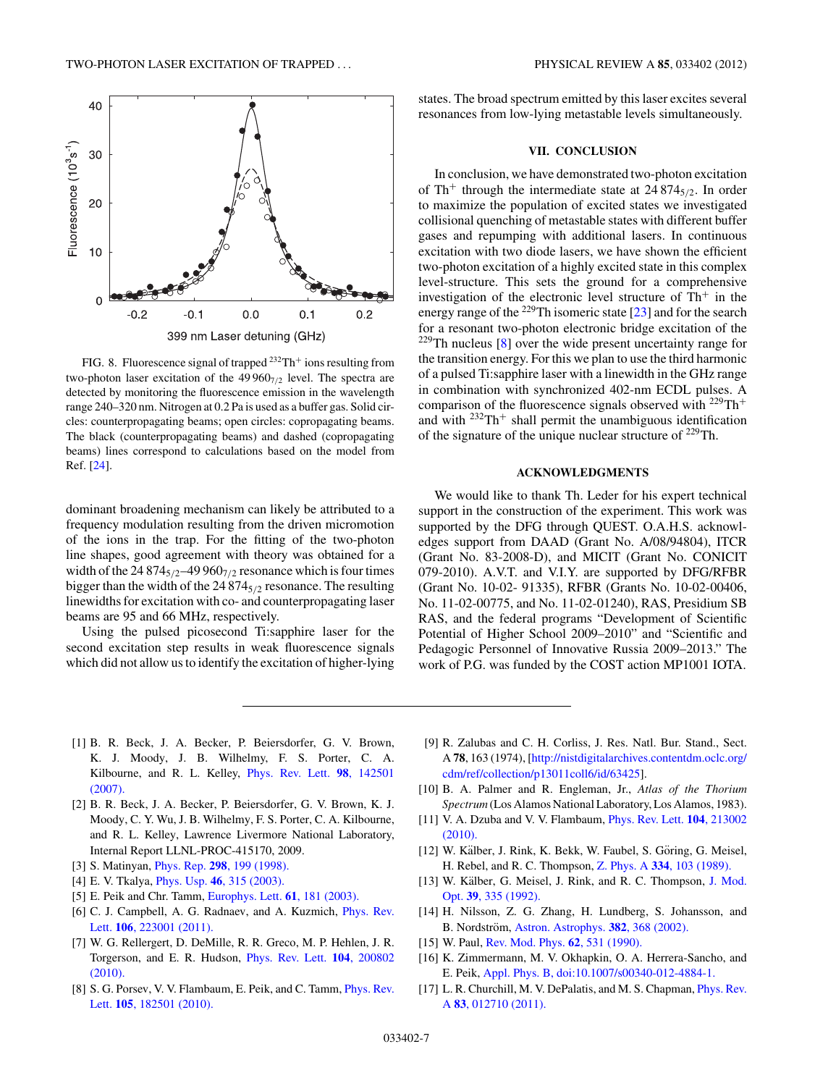<span id="page-6-0"></span>

FIG. 8. Fluorescence signal of trapped <sup>232</sup>Th<sup>+</sup> ions resulting from two-photon laser excitation of the  $49\,960_{7/2}$  level. The spectra are detected by monitoring the fluorescence emission in the wavelength range 240–320 nm. Nitrogen at 0.2 Pa is used as a buffer gas. Solid circles: counterpropagating beams; open circles: copropagating beams. The black (counterpropagating beams) and dashed (copropagating beams) lines correspond to calculations based on the model from Ref. [\[24\]](#page-7-0).

dominant broadening mechanism can likely be attributed to a frequency modulation resulting from the driven micromotion of the ions in the trap. For the fitting of the two-photon line shapes, good agreement with theory was obtained for a width of the  $24874_{5/2}$ –49960<sub>7/2</sub> resonance which is four times bigger than the width of the 24 8745*/*<sup>2</sup> resonance. The resulting linewidths for excitation with co- and counterpropagating laser beams are 95 and 66 MHz, respectively.

Using the pulsed picosecond Ti:sapphire laser for the second excitation step results in weak fluorescence signals which did not allow us to identify the excitation of higher-lying states. The broad spectrum emitted by this laser excites several resonances from low-lying metastable levels simultaneously.

#### **VII. CONCLUSION**

In conclusion, we have demonstrated two-photon excitation of Th<sup>+</sup> through the intermediate state at 24 8745*/*2. In order to maximize the population of excited states we investigated collisional quenching of metastable states with different buffer gases and repumping with additional lasers. In continuous excitation with two diode lasers, we have shown the efficient two-photon excitation of a highly excited state in this complex level-structure. This sets the ground for a comprehensive investigation of the electronic level structure of  $Th<sup>+</sup>$  in the energy range of the  $^{229}$ Th isomeric state [\[23\]](#page-7-0) and for the search for a resonant two-photon electronic bridge excitation of the <sup>229</sup>Th nucleus [8] over the wide present uncertainty range for the transition energy. For this we plan to use the third harmonic of a pulsed Ti:sapphire laser with a linewidth in the GHz range in combination with synchronized 402-nm ECDL pulses. A comparison of the fluorescence signals observed with  $^{229}Th+$ and with  $232 \text{Th}^+$  shall permit the unambiguous identification of the signature of the unique nuclear structure of <sup>229</sup>Th.

#### **ACKNOWLEDGMENTS**

We would like to thank Th. Leder for his expert technical support in the construction of the experiment. This work was supported by the DFG through QUEST. O.A.H.S. acknowledges support from DAAD (Grant No. A/08/94804), ITCR (Grant No. 83-2008-D), and MICIT (Grant No. CONICIT 079-2010). A.V.T. and V.I.Y. are supported by DFG/RFBR (Grant No. 10-02- 91335), RFBR (Grants No. 10-02-00406, No. 11-02-00775, and No. 11-02-01240), RAS, Presidium SB RAS, and the federal programs "Development of Scientific Potential of Higher School 2009–2010" and "Scientific and Pedagogic Personnel of Innovative Russia 2009–2013." The work of P.G. was funded by the COST action MP1001 IOTA.

- [1] B. R. Beck, J. A. Becker, P. Beiersdorfer, G. V. Brown, K. J. Moody, J. B. Wilhelmy, F. S. Porter, C. A. Kilbourne, and R. L. Kelley, [Phys. Rev. Lett.](http://dx.doi.org/10.1103/PhysRevLett.98.142501) **98**, 142501 [\(2007\).](http://dx.doi.org/10.1103/PhysRevLett.98.142501)
- [2] B. R. Beck, J. A. Becker, P. Beiersdorfer, G. V. Brown, K. J. Moody, C. Y. Wu, J. B. Wilhelmy, F. S. Porter, C. A. Kilbourne, and R. L. Kelley, Lawrence Livermore National Laboratory, Internal Report LLNL-PROC-415170, 2009.
- [3] S. Matinyan, Phys. Rep. **298**[, 199 \(1998\).](http://dx.doi.org/10.1016/S0370-1573(97)00084-7)
- [4] E. V. Tkalya, Phys. Usp. **46**[, 315 \(2003\).](http://dx.doi.org/10.1070/PU2003v046n03ABEH001379)
- [5] E. Peik and Chr. Tamm, [Europhys. Lett.](http://dx.doi.org/10.1209/epl/i2003-00210-x) **61**, 181 (2003).
- [6] C. J. Campbell, A. G. Radnaev, and A. Kuzmich, *[Phys. Rev.](http://dx.doi.org/10.1103/PhysRevLett.106.223001)* Lett. **106**[, 223001 \(2011\).](http://dx.doi.org/10.1103/PhysRevLett.106.223001)
- [7] W. G. Rellergert, D. DeMille, R. R. Greco, M. P. Hehlen, J. R. Torgerson, and E. R. Hudson, [Phys. Rev. Lett.](http://dx.doi.org/10.1103/PhysRevLett.104.200802) **104**, 200802 [\(2010\).](http://dx.doi.org/10.1103/PhysRevLett.104.200802)
- [8] S. G. Porsev, V. V. Flambaum, E. Peik, and C. Tamm, *[Phys. Rev.](http://dx.doi.org/10.1103/PhysRevLett.105.182501)* Lett. **105**[, 182501 \(2010\).](http://dx.doi.org/10.1103/PhysRevLett.105.182501)
- [9] R. Zalubas and C. H. Corliss, J. Res. Natl. Bur. Stand., Sect. A **78**, 163 (1974), [\[http://nistdigitalarchives.contentdm.oclc.org/](http://nistdigitalarchives.contentdm.oclc.org/cdm/ref/collection/p13011coll6/id/63425) [cdm/ref/collection/p13011coll6/id/63425\]](http://nistdigitalarchives.contentdm.oclc.org/cdm/ref/collection/p13011coll6/id/63425).
- [10] B. A. Palmer and R. Engleman, Jr., *Atlas of the Thorium Spectrum* (Los Alamos National Laboratory, Los Alamos, 1983).
- [11] V. A. Dzuba and V. V. Flambaum, [Phys. Rev. Lett.](http://dx.doi.org/10.1103/PhysRevLett.104.213002) **104**, 213002 [\(2010\).](http://dx.doi.org/10.1103/PhysRevLett.104.213002)
- [12] W. Kälber, J. Rink, K. Bekk, W. Faubel, S. Göring, G. Meisel, H. Rebel, and R. C. Thompson, Z. Phys. A **334**[, 103 \(1989\).](http://dx.doi.org/10.1007/BF01294392)
- [13] W. Kälber, G. Meisel, J. Rink, and R. C. Thompson, [J. Mod.](http://dx.doi.org/10.1080/09500349214550331) Opt. **39**[, 335 \(1992\).](http://dx.doi.org/10.1080/09500349214550331)
- [14] H. Nilsson, Z. G. Zhang, H. Lundberg, S. Johansson, and B. Nordström, [Astron. Astrophys.](http://dx.doi.org/10.1051/0004-6361:20011597) **382**, 368 (2002).
- [15] W. Paul, [Rev. Mod. Phys.](http://dx.doi.org/10.1103/RevModPhys.62.531) **62**, 531 (1990).
- [16] K. Zimmermann, M. V. Okhapkin, O. A. Herrera-Sancho, and E. Peik, [Appl. Phys. B, doi:10.1007/s00340-012-4884-1.](http://dx.doi.org/10.1007/s00340-012-4884-1)
- [17] L. R. Churchill, M. V. DePalatis, and M. S. Chapman, *[Phys. Rev.](http://dx.doi.org/10.1103/PhysRevA.83.012710)* A **83**[, 012710 \(2011\).](http://dx.doi.org/10.1103/PhysRevA.83.012710)